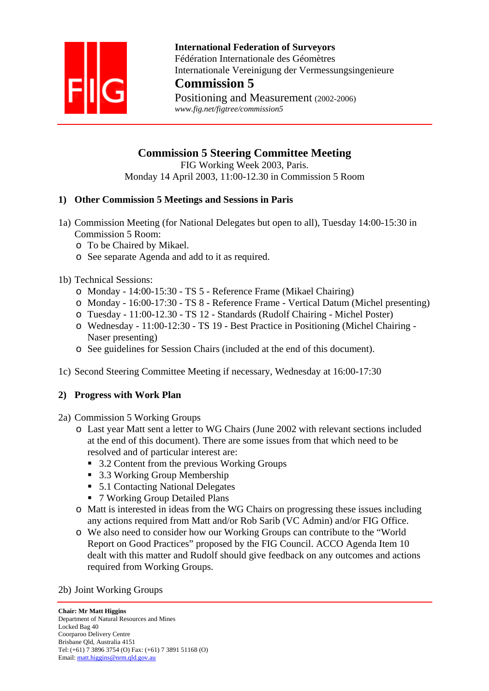

 **International Federation of Surveyors**  Fédération Internationale des Géomètres Internationale Vereinigung der Vermessungsingenieure

# **Commission 5**

Positioning and Measurement (2002-2006)  *www.fig.net/figtree/commission5* 

## **Commission 5 Steering Committee Meeting**

FIG Working Week 2003, Paris. Monday 14 April 2003, 11:00-12.30 in Commission 5 Room

## **1) Other Commission 5 Meetings and Sessions in Paris**

- 1a) Commission Meeting (for National Delegates but open to all), Tuesday 14:00-15:30 in Commission 5 Room:
	- o To be Chaired by Mikael.
	- o See separate Agenda and add to it as required.

## 1b) Technical Sessions:

- o Monday 14:00-15:30 TS 5 Reference Frame (Mikael Chairing)
- o Monday 16:00-17:30 TS 8 Reference Frame Vertical Datum (Michel presenting)
- o Tuesday 11:00-12.30 TS 12 Standards (Rudolf Chairing Michel Poster)
- o Wednesday 11:00-12:30 TS 19 Best Practice in Positioning (Michel Chairing Naser presenting)
- o See guidelines for Session Chairs (included at the end of this document).
- 1c) Second Steering Committee Meeting if necessary, Wednesday at 16:00-17:30

## **2) Progress with Work Plan**

- 2a) Commission 5 Working Groups
	- o Last year Matt sent a letter to WG Chairs (June 2002 with relevant sections included at the end of this document). There are some issues from that which need to be resolved and of particular interest are:
		- 3.2 Content from the previous Working Groups
		- 3.3 Working Group Membership
		- 5.1 Contacting National Delegates
		- 7 Working Group Detailed Plans
	- o Matt is interested in ideas from the WG Chairs on progressing these issues including any actions required from Matt and/or Rob Sarib (VC Admin) and/or FIG Office.
	- o We also need to consider how our Working Groups can contribute to the "World Report on Good Practices" proposed by the FIG Council. ACCO Agenda Item 10 dealt with this matter and Rudolf should give feedback on any outcomes and actions required from Working Groups.

#### 2b) Joint Working Groups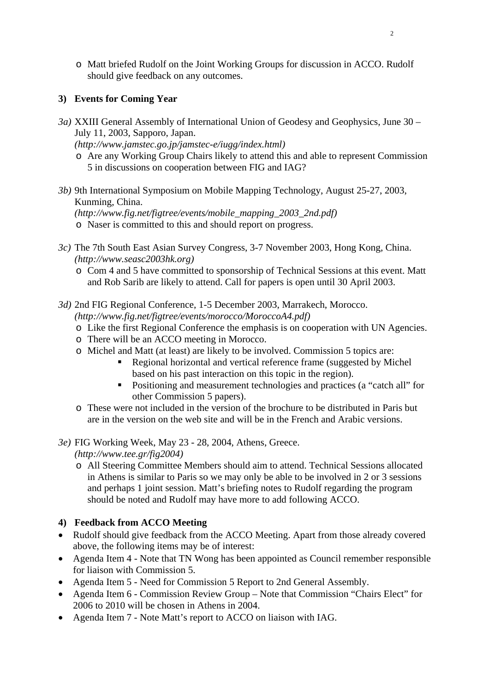o Matt briefed Rudolf on the Joint Working Groups for discussion in ACCO. Rudolf should give feedback on any outcomes.

## **3) Events for Coming Year**

*3a)* XXIII General Assembly of International Union of Geodesy and Geophysics, June 30 – July 11, 2003, Sapporo, Japan.

*(http://www.jamstec.go.jp/jamstec-e/iugg/index.html)* 

- o Are any Working Group Chairs likely to attend this and able to represent Commission 5 in discussions on cooperation between FIG and IAG?
- *3b)* 9th International Symposium on Mobile Mapping Technology, August 25-27, 2003, Kunming, China.

*(http://www.fig.net/figtree/events/mobile\_mapping\_2003\_2nd.pdf)* 

o Naser is committed to this and should report on progress.

- *3c)* The 7th South East Asian Survey Congress, 3-7 November 2003, Hong Kong, China. *(http://www.seasc2003hk.org)* 
	- o Com 4 and 5 have committed to sponsorship of Technical Sessions at this event. Matt and Rob Sarib are likely to attend. Call for papers is open until 30 April 2003.
- *3d)* 2nd FIG Regional Conference, 1-5 December 2003, Marrakech, Morocco. *(http://www.fig.net/figtree/events/morocco/MoroccoA4.pdf)* 
	- o Like the first Regional Conference the emphasis is on cooperation with UN Agencies.
	- o There will be an ACCO meeting in Morocco.
	- o Michel and Matt (at least) are likely to be involved. Commission 5 topics are:
		- Regional horizontal and vertical reference frame (suggested by Michel based on his past interaction on this topic in the region).
		- Positioning and measurement technologies and practices (a "catch all" for other Commission 5 papers).
	- o These were not included in the version of the brochure to be distributed in Paris but are in the version on the web site and will be in the French and Arabic versions.

*3e)* FIG Working Week, May 23 - 28, 2004, Athens, Greece.

*(http://www.tee.gr/fig2004)* 

o All Steering Committee Members should aim to attend. Technical Sessions allocated in Athens is similar to Paris so we may only be able to be involved in 2 or 3 sessions and perhaps 1 joint session. Matt's briefing notes to Rudolf regarding the program should be noted and Rudolf may have more to add following ACCO.

## **4) Feedback from ACCO Meeting**

- Rudolf should give feedback from the ACCO Meeting. Apart from those already covered above, the following items may be of interest:
- Agenda Item 4 Note that TN Wong has been appointed as Council remember responsible for liaison with Commission 5.
- Agenda Item 5 Need for Commission 5 Report to 2nd General Assembly.
- Agenda Item 6 Commission Review Group Note that Commission "Chairs Elect" for 2006 to 2010 will be chosen in Athens in 2004.
- Agenda Item 7 Note Matt's report to ACCO on liaison with IAG.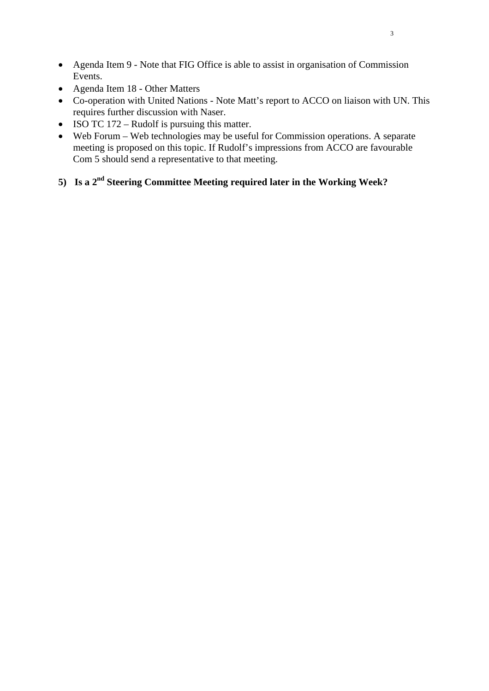- Agenda Item 9 Note that FIG Office is able to assist in organisation of Commission Events.
- Agenda Item 18 Other Matters
- Co-operation with United Nations Note Matt's report to ACCO on liaison with UN. This requires further discussion with Naser.
- ISO TC 172 Rudolf is pursuing this matter.
- Web Forum Web technologies may be useful for Commission operations. A separate meeting is proposed on this topic. If Rudolf's impressions from ACCO are favourable Com 5 should send a representative to that meeting.
- **5) Is a 2nd Steering Committee Meeting required later in the Working Week?**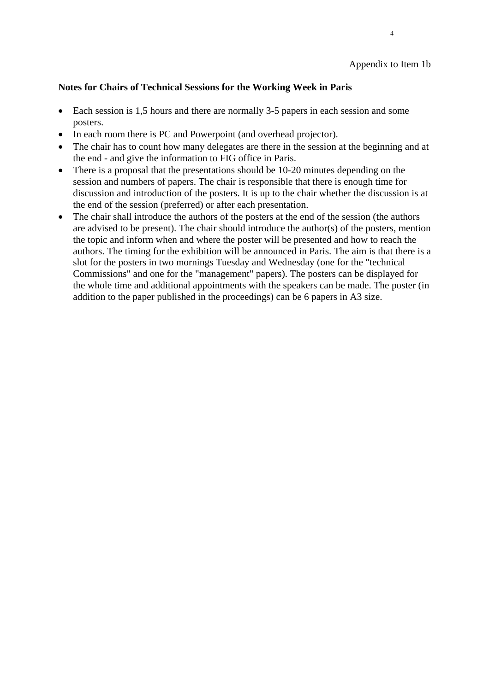#### **Notes for Chairs of Technical Sessions for the Working Week in Paris**

• Each session is 1,5 hours and there are normally 3-5 papers in each session and some posters.

4

- In each room there is PC and Powerpoint (and overhead projector).
- The chair has to count how many delegates are there in the session at the beginning and at the end - and give the information to FIG office in Paris.
- There is a proposal that the presentations should be 10-20 minutes depending on the session and numbers of papers. The chair is responsible that there is enough time for discussion and introduction of the posters. It is up to the chair whether the discussion is at the end of the session (preferred) or after each presentation.
- The chair shall introduce the authors of the posters at the end of the session (the authors are advised to be present). The chair should introduce the author(s) of the posters, mention the topic and inform when and where the poster will be presented and how to reach the authors. The timing for the exhibition will be announced in Paris. The aim is that there is a slot for the posters in two mornings Tuesday and Wednesday (one for the "technical Commissions" and one for the "management" papers). The posters can be displayed for the whole time and additional appointments with the speakers can be made. The poster (in addition to the paper published in the proceedings) can be 6 papers in A3 size.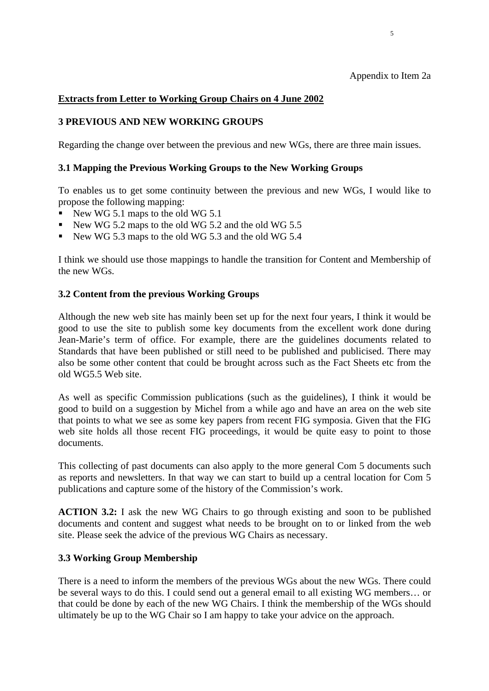#### **Extracts from Letter to Working Group Chairs on 4 June 2002**

#### **3 PREVIOUS AND NEW WORKING GROUPS**

Regarding the change over between the previous and new WGs, there are three main issues.

 $\sim$  5

#### **3.1 Mapping the Previous Working Groups to the New Working Groups**

To enables us to get some continuity between the previous and new WGs, I would like to propose the following mapping:

- New WG 5.1 maps to the old WG 5.1
- New WG 5.2 maps to the old WG 5.2 and the old WG 5.5
- New WG 5.3 maps to the old WG 5.3 and the old WG 5.4

I think we should use those mappings to handle the transition for Content and Membership of the new WGs.

#### **3.2 Content from the previous Working Groups**

Although the new web site has mainly been set up for the next four years, I think it would be good to use the site to publish some key documents from the excellent work done during Jean-Marie's term of office. For example, there are the guidelines documents related to Standards that have been published or still need to be published and publicised. There may also be some other content that could be brought across such as the Fact Sheets etc from the old WG5.5 Web site.

As well as specific Commission publications (such as the guidelines), I think it would be good to build on a suggestion by Michel from a while ago and have an area on the web site that points to what we see as some key papers from recent FIG symposia. Given that the FIG web site holds all those recent FIG proceedings, it would be quite easy to point to those documents.

This collecting of past documents can also apply to the more general Com 5 documents such as reports and newsletters. In that way we can start to build up a central location for Com 5 publications and capture some of the history of the Commission's work.

**ACTION 3.2:** I ask the new WG Chairs to go through existing and soon to be published documents and content and suggest what needs to be brought on to or linked from the web site. Please seek the advice of the previous WG Chairs as necessary.

#### **3.3 Working Group Membership**

There is a need to inform the members of the previous WGs about the new WGs. There could be several ways to do this. I could send out a general email to all existing WG members… or that could be done by each of the new WG Chairs. I think the membership of the WGs should ultimately be up to the WG Chair so I am happy to take your advice on the approach.